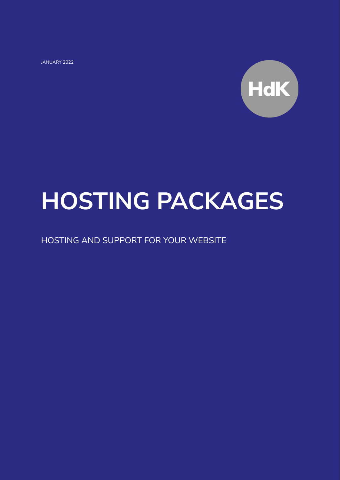JANUARY 2022



# **HOSTING PACKAGES**

HOSTING AND SUPPORT FOR YOUR WEBSITE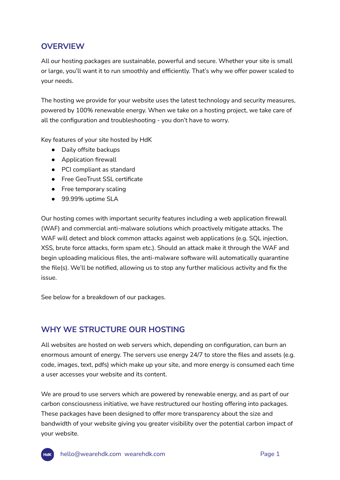# **OVERVIEW**

All our hosting packages are sustainable, powerful and secure. Whether your site is small or large, you'll want it to run smoothly and efficiently. That's why we offer power scaled to your needs.

The hosting we provide for your website uses the latest technology and security measures, powered by 100% renewable energy. When we take on a hosting project, we take care of all the configuration and troubleshooting - you don't have to worry.

Key features of your site hosted by HdK

- Daily offsite backups
- Application firewall
- PCI compliant as standard
- Free GeoTrust SSL certificate
- Free temporary scaling
- 99.99% uptime SLA

Our hosting comes with important security features including a web application firewall (WAF) and commercial anti-malware solutions which proactively mitigate attacks. The WAF will detect and block common attacks against web applications (e.g. SQL injection, XSS, brute force attacks, form spam etc.). Should an attack make it through the WAF and begin uploading malicious files, the anti-malware software will automatically quarantine the file(s). We'll be notified, allowing us to stop any further malicious activity and fix the issue.

See below for a breakdown of our packages.

# **WHY WE STRUCTURE OUR HOSTING**

All websites are hosted on web servers which, depending on configuration, can burn an enormous amount of energy. The servers use energy 24/7 to store the files and assets (e.g. code, images, text, pdfs) which make up your site, and more energy is consumed each time a user accesses your website and its content.

We are proud to use servers which are powered by renewable energy, and as part of our carbon consciousness initiative, we have restructured our hosting offering into packages. These packages have been designed to offer more transparency about the size and bandwidth of your website giving you greater visibility over the potential carbon impact of your website.

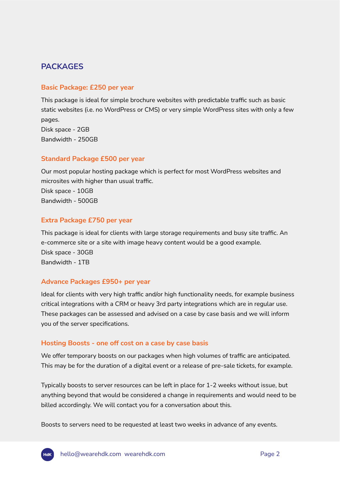# **PACKAGES**

## **Basic Package: £250 per year**

This package is ideal for simple brochure websites with predictable traffic such as basic static websites (i.e. no WordPress or CMS) or very simple WordPress sites with only a few pages. Disk space - 2GB Bandwidth - 250GB

## **Standard Package £500 per year**

Our most popular hosting package which is perfect for most WordPress websites and microsites with higher than usual traffic. Disk space - 10GB Bandwidth - 500GB

## **Extra Package £750 per year**

This package is ideal for clients with large storage requirements and busy site traffic. An e-commerce site or a site with image heavy content would be a good example. Disk space - 30GB Bandwidth - 1TB

## **Advance Packages £950+ per year**

Ideal for clients with very high traffic and/or high functionality needs, for example business critical integrations with a CRM or heavy 3rd party integrations which are in regular use. These packages can be assessed and advised on a case by case basis and we will inform you of the server specifications.

## **Hosting Boosts - one off cost on a case by case basis**

We offer temporary boosts on our packages when high volumes of traffic are anticipated. This may be for the duration of a digital event or a release of pre-sale tickets, for example.

Typically boosts to server resources can be left in place for 1-2 weeks without issue, but anything beyond that would be considered a change in requirements and would need to be billed accordingly. We will contact you for a conversation about this.

Boosts to servers need to be requested at least two weeks in advance of any events.